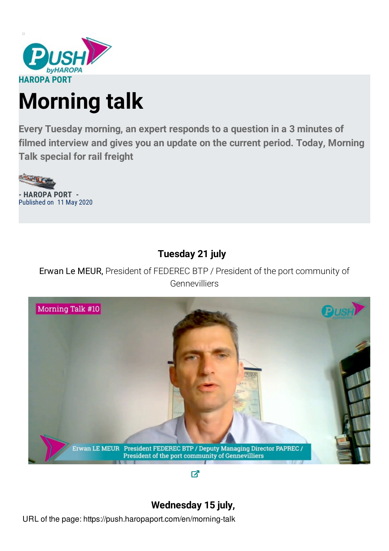

# **Morning talk**

**Every Tuesday morning, an expert responds to a question in a 3 minutes of filmed interview and gives you an update on the current period. Today, Morning Talk special for rail freight**



## **Tuesday 21 july**

Erwan Le MEUR, President of FEDEREC BTP / President of the port community of Gennevilliers



 $\overline{A}$ 

## **Wednesday 15 july,**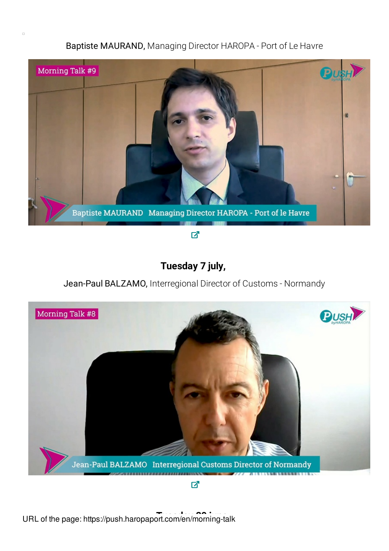### Baptiste MAURAND, Managing Director HAROPA - Port of Le Havre



## **Tuesday 7 july,**

### Jean-Paul BALZAMO, Interregional Director of Customs - Normandy



 $\overline{A}$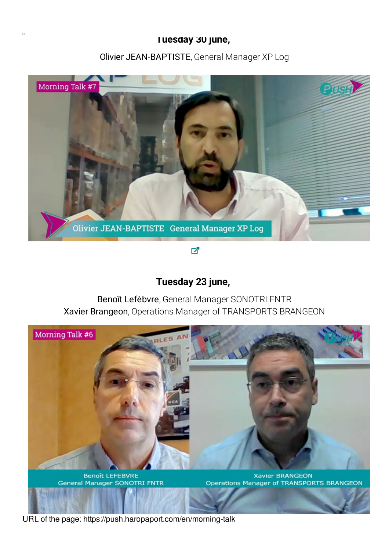#### **Tuesday 30 june,**

#### Olivier JEAN-BAPTISTE, General Manager XP Log



 $\overline{\mathbf{Z}}$ 

### **Tuesday 23 june,**

Benoît Lefèbvre, General Manager SONOTRI FNTR Xavier Brangeon, Operations Manager of TRANSPORTS BRANGEON



**Benoît LEFEBVRE** General Manager SONOTRI FNTR

**Xavier BRANGEON** Operations Manager of TRANSPORTS BRANGEON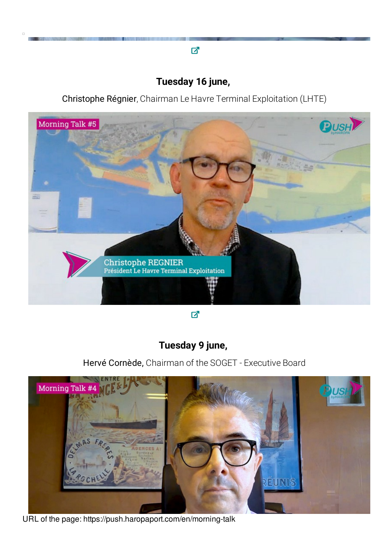# **Tuesday 16 june,**

才

 $\Box$ 

Christophe Régnier, Chairman Le Havre Terminal Exploitation (LHTE)



 $\overline{\mathbf{z}}$ 

## **Tuesday 9 june,**

Hervé Cornède, Chairman of the SOGET - Executive Board

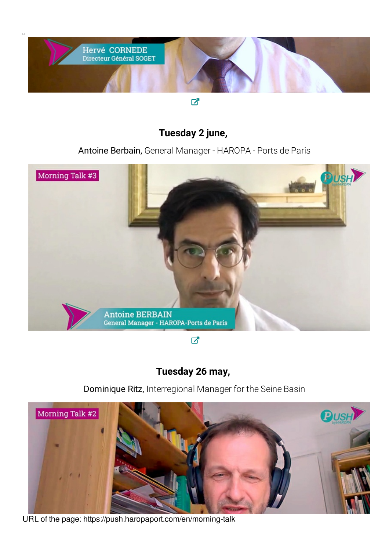

 $\Box$ 

才

## **Tuesday 2 june,**

Antoine Berbain, General Manager - HAROPA - Ports de Paris



☑

## **Tuesday 26 may,**

Dominique Ritz, Interregional Manager for the Seine Basin



URL of the page: https://push.haropaport.com/en/morning-talk